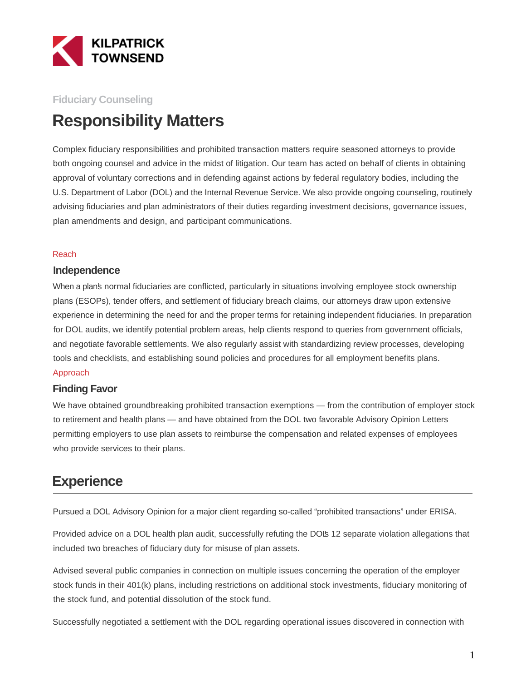

### **Fiduciary Counseling**

# **Responsibility Matters**

Complex fiduciary responsibilities and prohibited transaction matters require seasoned attorneys to provide both ongoing counsel and advice in the midst of litigation. Our team has acted on behalf of clients in obtaining approval of voluntary corrections and in defending against actions by federal regulatory bodies, including the U.S. Department of Labor (DOL) and the Internal Revenue Service. We also provide ongoing counseling, routinely advising fiduciaries and plan administrators of their duties regarding investment decisions, governance issues, plan amendments and design, and participant communications.

#### Reach

#### **Independence**

When a plan's normal fiduciaries are conflicted, particularly in situations involving employee stock ownership plans (ESOPs), tender offers, and settlement of fiduciary breach claims, our attorneys draw upon extensive experience in determining the need for and the proper terms for retaining independent fiduciaries. In preparation for DOL audits, we identify potential problem areas, help clients respond to queries from government officials, and negotiate favorable settlements. We also regularly assist with standardizing review processes, developing tools and checklists, and establishing sound policies and procedures for all employment benefits plans.

#### Approach

#### **Finding Favor**

We have obtained groundbreaking prohibited transaction exemptions — from the contribution of employer stock to retirement and health plans — and have obtained from the DOL two favorable Advisory Opinion Letters permitting employers to use plan assets to reimburse the compensation and related expenses of employees who provide services to their plans.

## **Experience**

Pursued a DOL Advisory Opinion for a major client regarding so-called "prohibited transactions" under ERISA.

Provided advice on a DOL health plan audit, successfully refuting the DOIs 12 separate violation allegations that included two breaches of fiduciary duty for misuse of plan assets.

Advised several public companies in connection on multiple issues concerning the operation of the employer stock funds in their 401(k) plans, including restrictions on additional stock investments, fiduciary monitoring of the stock fund, and potential dissolution of the stock fund.

Successfully negotiated a settlement with the DOL regarding operational issues discovered in connection with